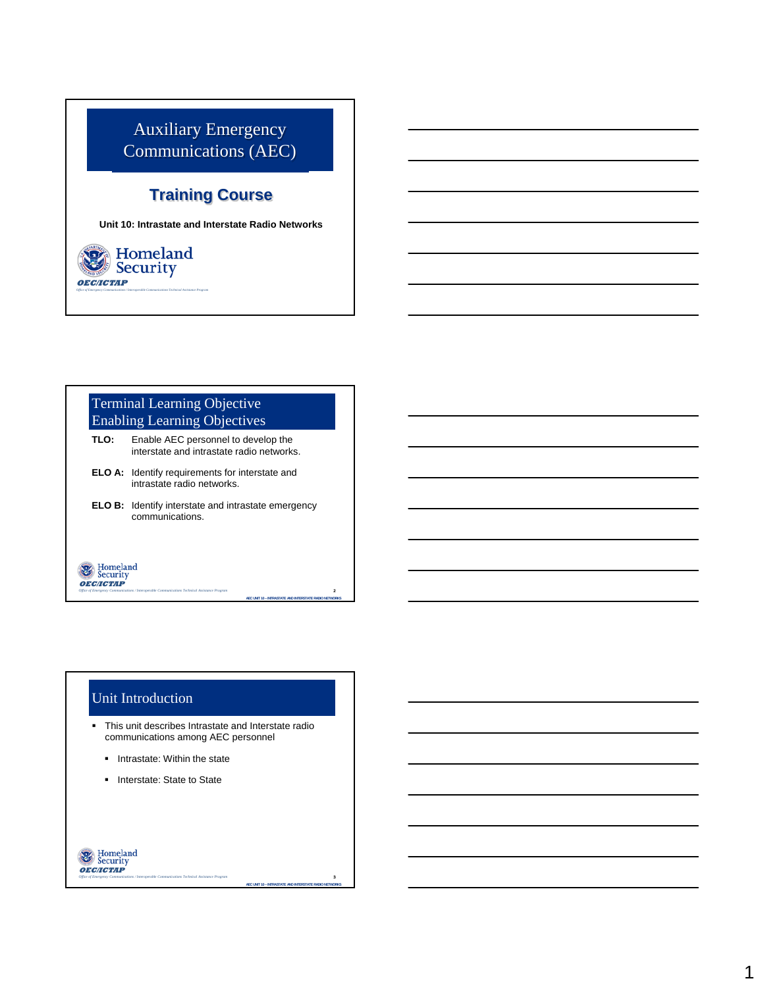### Auxiliary Emergency Communications (AEC)

### **Training Course**

**Unit 10: Intrastate and Interstate Radio Networks**



#### Terminal Learning Objective Enabling Learning Objectives

- **TLO:** Enable AEC personnel to develop the interstate and intrastate radio networks.
- **ELO A:** Identify requirements for interstate and intrastate radio networks.
- **ELO B:** Identify interstate and intrastate emergency communications.

# **OEC/ICTAP**

**OEC/ICTAP**

*Office of Emergency Communications / Interoperable Communications Technical Assistance Program* 

#### Unit Introduction

- This unit describes Intrastate and Interstate radio communications among AEC personnel
	- Intrastate: Within the state
	- **Interstate: State to State**

*Office of Emergency Communications / Interoperable Communications Technical Assistance Program* 

## **W** Homeland<br>Security

**AEC UNIT 10 – INTRASTATE AND INTERSTATE RADIO NETWORKS**

**AEC UNIT 10 – INTRASTATE AND INTERSTATE RADIO NETWORKS**

2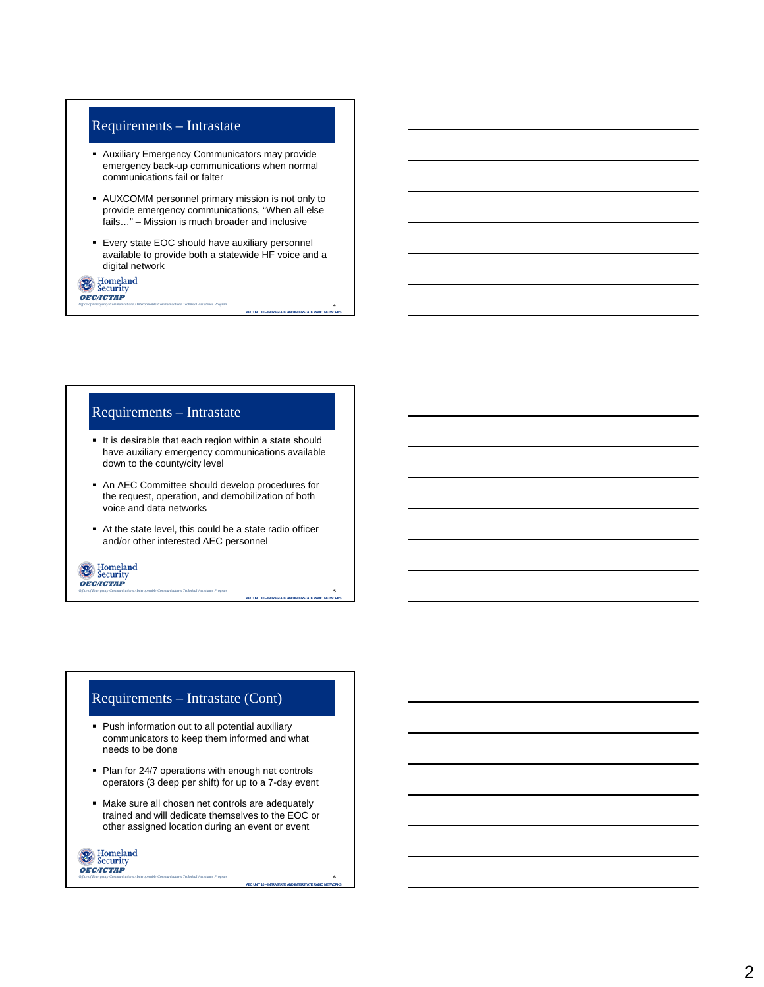#### Requirements – Intrastate

- Auxiliary Emergency Communicators may provide emergency back-up communications when normal communications fail or falter
- AUXCOMM personnel primary mission is not only to provide emergency communications, "When all else fails…" – Mission is much broader and inclusive
- Every state EOC should have auxiliary personnel available to provide both a statewide HF voice and a digital network

**AEC UNIT 10 – INTRASTATE AND INTERSTATE RADIO NETWORKS**

**AEC UNIT 10 – INTRASTATE AND INTERSTATE RADIO NETWORKS**

**AEC UNIT 10 – INTRASTATE AND INTERSTATE RADIO NETWORKS**

6

5

4

#### Requirements – Intrastate

*Office of Emergency Communications / Interoperable Communications Technical Assistance Program* 

*Office of Emergency Communications / Interoperable Communications Technical Assistance Program* 

- It is desirable that each region within a state should have auxiliary emergency communications available down to the county/city level
- An AEC Committee should develop procedures for the request, operation, and demobilization of both voice and data networks
- At the state level, this could be a state radio officer and/or other interested AEC personnel

**OEC/ICTAP** 

**OF** Security<br>**OEC/ICTAP** 

#### Requirements – Intrastate (Cont)

- Push information out to all potential auxiliary communicators to keep them informed and what needs to be done
- Plan for 24/7 operations with enough net controls operators (3 deep per shift) for up to a 7-day event
- Make sure all chosen net controls are adequately trained and will dedicate themselves to the EOC or other assigned location during an event or event

Homeland<br>Security **OEC/ICTAP** *Office of Emergency Communications / Interoperable Communications Technical Assistance Program*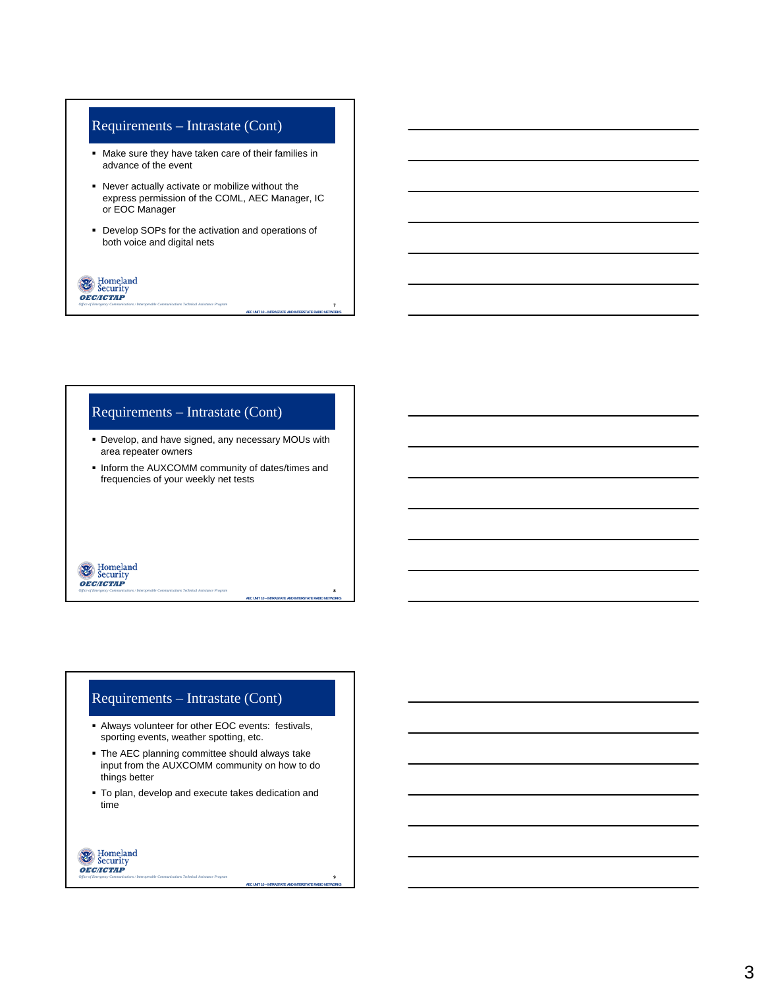#### Requirements – Intrastate (Cont)

- Make sure they have taken care of their families in advance of the event
- Never actually activate or mobilize without the express permission of the COML, AEC Manager, IC or EOC Manager
- Develop SOPs for the activation and operations of both voice and digital nets

**AEC UNIT 10 – INTRASTATE AND INTERSTATE RADIO NETWORKS**

**AEC UNIT 10 – INTRASTATE AND INTERSTATE RADIO NETWORKS**

**AEC UNIT 10 – INTRASTATE AND INTERSTATE RADIO NETWORKS**

 $\overline{9}$ 

8

7

**OF** Security<br>**OEC/ICTAP** *Office of Emergency Communications / Interoperable Communications Technical Assistance Program* 

#### Requirements – Intrastate (Cont)

- Develop, and have signed, any necessary MOUs with area repeater owners
- **.** Inform the AUXCOMM community of dates/times and frequencies of your weekly net tests

# **OEC/ICTAP**

*Office of Emergency Communications / Interoperable Communications Technical Assistance Program* 

#### Requirements – Intrastate (Cont)

- Always volunteer for other EOC events: festivals, sporting events, weather spotting, etc.
- The AEC planning committee should always take input from the AUXCOMM community on how to do things better
- To plan, develop and execute takes dedication and time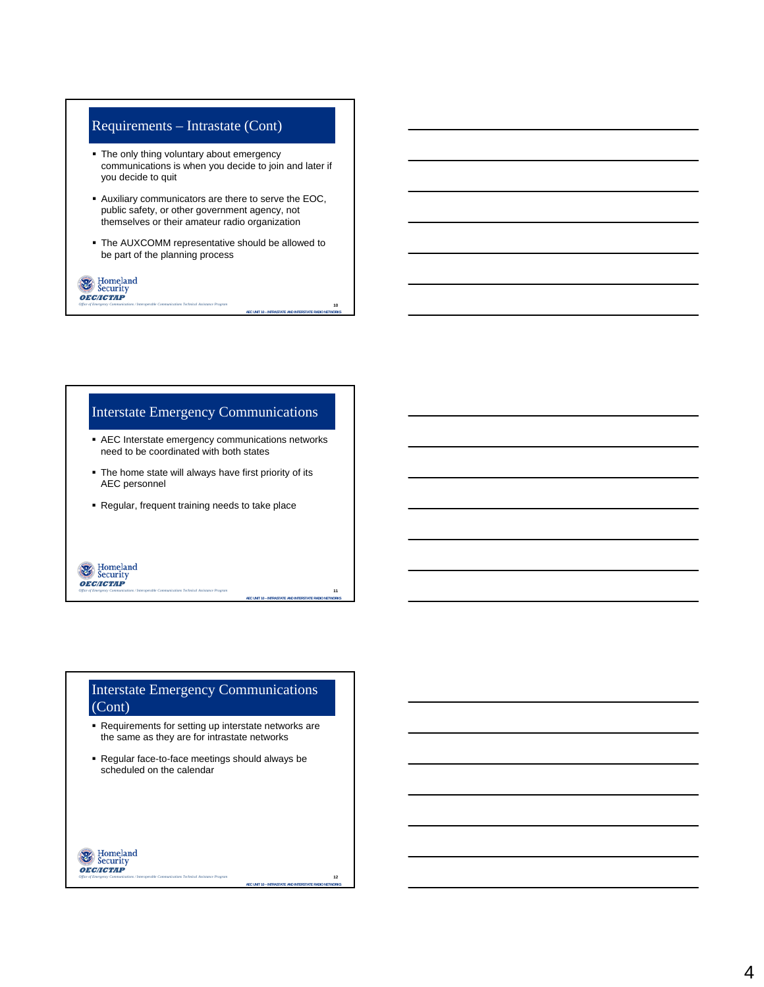#### Requirements – Intrastate (Cont)

- The only thing voluntary about emergency communications is when you decide to join and later if you decide to quit
- Auxiliary communicators are there to serve the EOC, public safety, or other government agency, not themselves or their amateur radio organization
- The AUXCOMM representative should be allowed to be part of the planning process

**AEC UNIT 10 – INTRASTATE AND INTERSTATE RADIO NETWORKS**

**AEC UNIT 10 – INTRASTATE AND INTERSTATE RADIO NETWORKS**

11

10

### **OF** Security<br>**OEC/ICTAP** *Office of Emergency Communications / Interoperable Communications Technical Assistance Program*

**OEC/ICTAP** 

*Office of Emergency Communications / Interoperable Communications Technical Assistance Program* 

#### Interstate Emergency Communications

- AEC Interstate emergency communications networks need to be coordinated with both states
- The home state will always have first priority of its AEC personnel
- Regular, frequent training needs to take place

#### Interstate Emergency Communications (Cont)

- Requirements for setting up interstate networks are the same as they are for intrastate networks
- Regular face-to-face meetings should always be scheduled on the calendar

#### Homeland<br>Security **OEC/ICTAP** *Office of Emergency Communications / Interoperable Communications Technical Assistance Program*

**AEC UNIT 10 – INTRASTATE AND INTERSTATE RADIO NETWORKS**